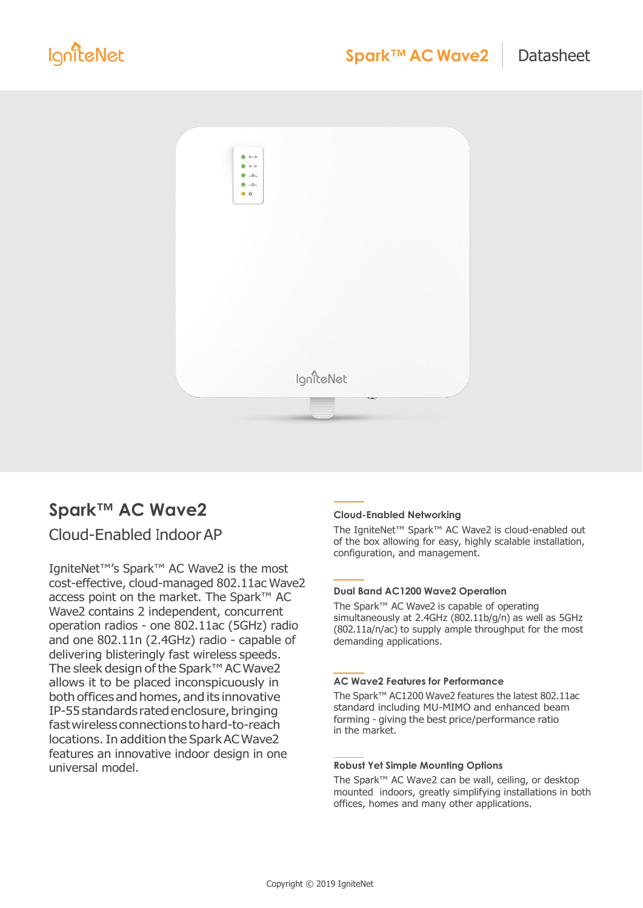

# **Spark™ AC Wave2**

# Cloud-Enabled IndoorAP

IgniteNet™'s Spark™ AC Wave2 is the most cost-effective, cloud-managed 802.11ac Wave2 access point on the market. The Spark™ AC Wave2 contains 2 independent, concurrent operation radios - one 802.11ac (5GHz) radio and one 802.11n (2.4GHz) radio - capable of delivering blisteringly fast wireless speeds. The sleek design of the Spark™ AC Wave2 allows it to be placed inconspicuously in both offices and homes, and its innovative IP-55 standards rated enclosure, bringing fastwireless connections tohard-to-reach locations.In addition the SparkACWave2 features an innovative indoor design in one universal model.

#### **Cloud-Enabled Networking**

The IgniteNet™ Spark™ AC Wave2 is cloud-enabled out of the box allowing for easy, highly scalable installation, configuration, and management.

#### **Dual Band AC1200 Wave2 Operation**

The Spark™ AC Wave2 is capable of operating simultaneously at 2.4GHz (802.11b/g/n) as well as 5GHz (802.11a/n/ac) to supply ample throughput for the most demanding applications.

#### **AC Wave2 Features for Performance**

The Spark™ AC1200 Wave2 features the latest 802.11ac standard including MU-MIMO and enhanced beam forming - giving the best price/performance ratio in the market.

#### **Robust Yet Simple Mounting Options**

The Spark™ AC Wave2 can be wall, ceiling, or desktop mounted indoors, greatly simplifying installations in both offices, homes and many other applications.